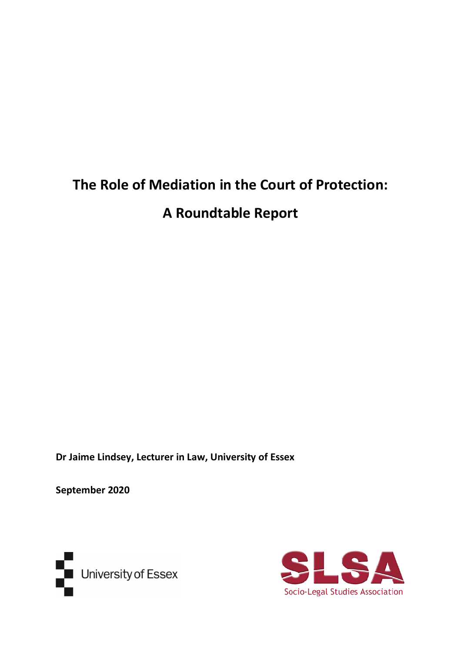# **The Role of Mediation in the Court of Protection: A Roundtable Report**

**Dr Jaime Lindsey, Lecturer in Law, University of Essex**

**September 2020**



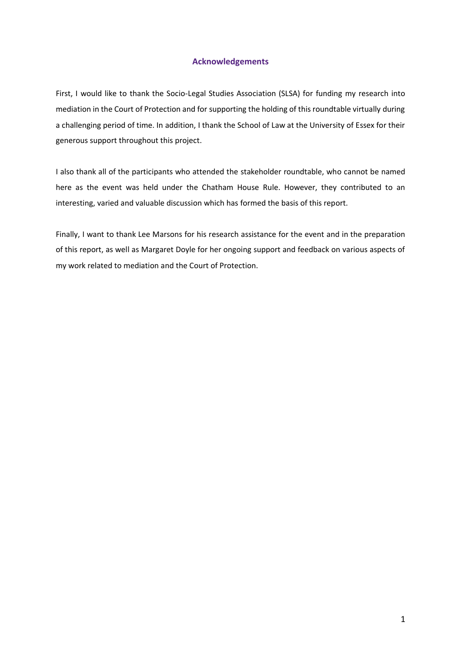# **Acknowledgements**

First, I would like to thank the Socio-Legal Studies Association (SLSA) for funding my research into mediation in the Court of Protection and for supporting the holding of this roundtable virtually during a challenging period of time. In addition, I thank the School of Law at the University of Essex for their generous support throughout this project.

I also thank all of the participants who attended the stakeholder roundtable, who cannot be named here as the event was held under the Chatham House Rule. However, they contributed to an interesting, varied and valuable discussion which has formed the basis of this report.

Finally, I want to thank Lee Marsons for his research assistance for the event and in the preparation of this report, as well as Margaret Doyle for her ongoing support and feedback on various aspects of my work related to mediation and the Court of Protection.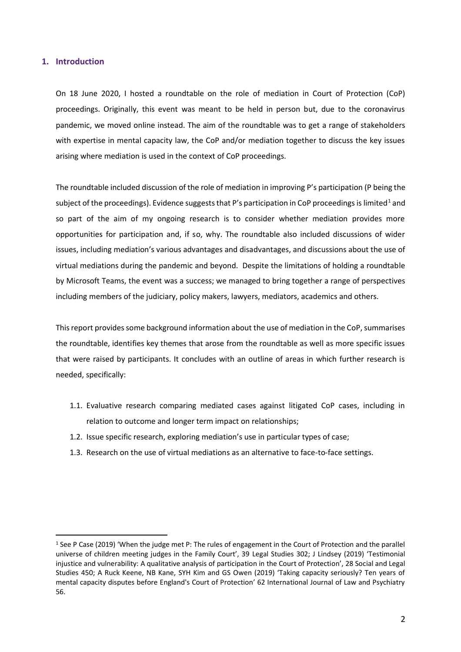## **1. Introduction**

On 18 June 2020, I hosted a roundtable on the role of mediation in Court of Protection (CoP) proceedings. Originally, this event was meant to be held in person but, due to the coronavirus pandemic, we moved online instead. The aim of the roundtable was to get a range of stakeholders with expertise in mental capacity law, the CoP and/or mediation together to discuss the key issues arising where mediation is used in the context of CoP proceedings.

The roundtable included discussion of the role of mediation in improving P's participation (P being the subject of the proceedings). Evidence suggests that P's participation in CoP proceedings is limited<sup>1</sup> and so part of the aim of my ongoing research is to consider whether mediation provides more opportunities for participation and, if so, why. The roundtable also included discussions of wider issues, including mediation's various advantages and disadvantages, and discussions about the use of virtual mediations during the pandemic and beyond. Despite the limitations of holding a roundtable by Microsoft Teams, the event was a success; we managed to bring together a range of perspectives including members of the judiciary, policy makers, lawyers, mediators, academics and others.

This report provides some background information about the use of mediation in the CoP, summarises the roundtable, identifies key themes that arose from the roundtable as well as more specific issues that were raised by participants. It concludes with an outline of areas in which further research is needed, specifically:

- 1.1. Evaluative research comparing mediated cases against litigated CoP cases, including in relation to outcome and longer term impact on relationships;
- 1.2. Issue specific research, exploring mediation's use in particular types of case;
- 1.3. Research on the use of virtual mediations as an alternative to face-to-face settings.

<sup>1</sup> See P Case (2019) 'When the judge met P: The rules of engagement in the Court of Protection and the parallel universe of children meeting judges in the Family Court', 39 Legal Studies 302; J Lindsey (2019) 'Testimonial injustice and vulnerability: A qualitative analysis of participation in the Court of Protection', 28 Social and Legal Studies 450; A Ruck Keene, NB Kane, SYH Kim and GS Owen (2019) 'Taking capacity seriously? Ten years of mental capacity disputes before England's Court of Protection' 62 International Journal of Law and Psychiatry 56.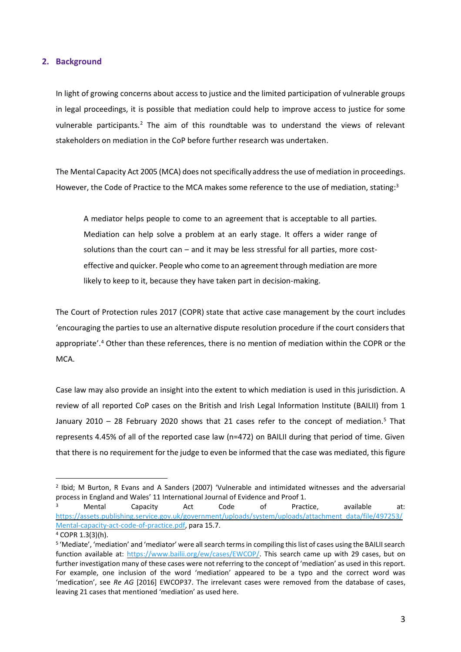## **2. Background**

In light of growing concerns about access to justice and the limited participation of vulnerable groups in legal proceedings, it is possible that mediation could help to improve access to justice for some vulnerable participants.<sup>2</sup> The aim of this roundtable was to understand the views of relevant stakeholders on mediation in the CoP before further research was undertaken.

The Mental Capacity Act 2005 (MCA) does not specifically addressthe use of mediation in proceedings. However, the Code of Practice to the MCA makes some reference to the use of mediation, stating:<sup>3</sup>

A mediator helps people to come to an agreement that is acceptable to all parties. Mediation can help solve a problem at an early stage. It offers a wider range of solutions than the court can – and it may be less stressful for all parties, more costeffective and quicker. People who come to an agreement through mediation are more likely to keep to it, because they have taken part in decision-making.

The Court of Protection rules 2017 (COPR) state that active case management by the court includes 'encouraging the parties to use an alternative dispute resolution procedure if the court considers that appropriate'. <sup>4</sup> Other than these references, there is no mention of mediation within the COPR or the MCA.

Case law may also provide an insight into the extent to which mediation is used in this jurisdiction. A review of all reported CoP cases on the British and Irish Legal Information Institute (BAILII) from 1 January 2010 – 28 February 2020 shows that 21 cases refer to the concept of mediation.<sup>5</sup> That represents 4.45% of all of the reported case law (n=472) on BAILII during that period of time. Given that there is no requirement for the judge to even be informed that the case was mediated, this figure

<sup>2</sup> Ibid; M Burton, R Evans and A Sanders (2007) 'Vulnerable and intimidated witnesses and the adversarial process in England and Wales' 11 International Journal of Evidence and Proof 1.

<sup>&</sup>lt;sup>3</sup> Mental Capacity Act Code of Practice, available at: [https://assets.publishing.service.gov.uk/government/uploads/system/uploads/attachment\\_data/file/497253/](https://assets.publishing.service.gov.uk/government/uploads/system/uploads/attachment_data/file/497253/Mental-capacity-act-code-of-practice.pdf) [Mental-capacity-act-code-of-practice.pdf,](https://assets.publishing.service.gov.uk/government/uploads/system/uploads/attachment_data/file/497253/Mental-capacity-act-code-of-practice.pdf) para 15.7.

<sup>4</sup> COPR 1.3(3)(h).

<sup>5</sup> 'Mediate', 'mediation' and 'mediator' were all search terms in compiling this list of cases using the BAILII search function available at: [https://www.bailii.org/ew/cases/EWCOP/.](https://www.bailii.org/ew/cases/EWCOP/) This search came up with 29 cases, but on further investigation many of these cases were not referring to the concept of 'mediation' as used in this report. For example, one inclusion of the word 'mediation' appeared to be a typo and the correct word was 'medication', see *Re AG* [2016] EWCOP37. The irrelevant cases were removed from the database of cases, leaving 21 cases that mentioned 'mediation' as used here.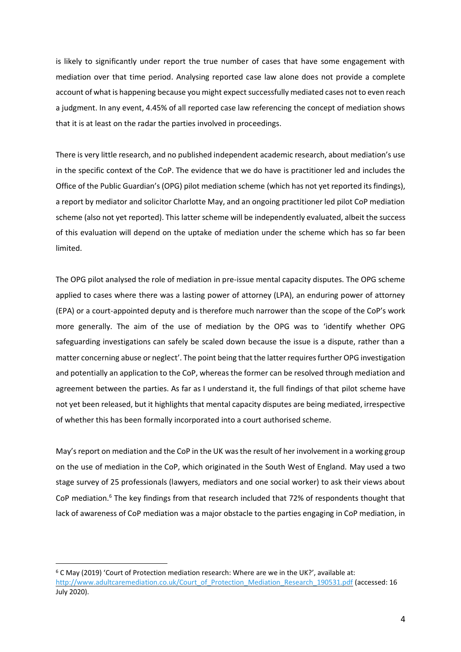is likely to significantly under report the true number of cases that have some engagement with mediation over that time period. Analysing reported case law alone does not provide a complete account of what is happening because you might expect successfully mediated cases not to even reach a judgment. In any event, 4.45% of all reported case law referencing the concept of mediation shows that it is at least on the radar the parties involved in proceedings.

There is very little research, and no published independent academic research, about mediation's use in the specific context of the CoP. The evidence that we do have is practitioner led and includes the Office of the Public Guardian's (OPG) pilot mediation scheme (which has not yet reported its findings), a report by mediator and solicitor Charlotte May, and an ongoing practitioner led pilot CoP mediation scheme (also not yet reported). This latter scheme will be independently evaluated, albeit the success of this evaluation will depend on the uptake of mediation under the scheme which has so far been limited.

The OPG pilot analysed the role of mediation in pre-issue mental capacity disputes. The OPG scheme applied to cases where there was a lasting power of attorney (LPA), an enduring power of attorney (EPA) or a court-appointed deputy and is therefore much narrower than the scope of the CoP's work more generally. The aim of the use of mediation by the OPG was to 'identify whether OPG safeguarding investigations can safely be scaled down because the issue is a dispute, rather than a matter concerning abuse or neglect'. The point being that the latter requires further OPG investigation and potentially an application to the CoP, whereas the former can be resolved through mediation and agreement between the parties. As far as I understand it, the full findings of that pilot scheme have not yet been released, but it highlights that mental capacity disputes are being mediated, irrespective of whether this has been formally incorporated into a court authorised scheme.

May's report on mediation and the CoP in the UK was the result of her involvement in a working group on the use of mediation in the CoP, which originated in the South West of England. May used a two stage survey of 25 professionals (lawyers, mediators and one social worker) to ask their views about CoP mediation.<sup>6</sup> The key findings from that research included that 72% of respondents thought that lack of awareness of CoP mediation was a major obstacle to the parties engaging in CoP mediation, in

 $6$  C May (2019) 'Court of Protection mediation research: Where are we in the UK?', available at: [http://www.adultcaremediation.co.uk/Court\\_of\\_Protection\\_Mediation\\_Research\\_190531.pdf](http://www.adultcaremediation.co.uk/Court_of_Protection_Mediation_Research_190531.pdf) (accessed: 16 July 2020).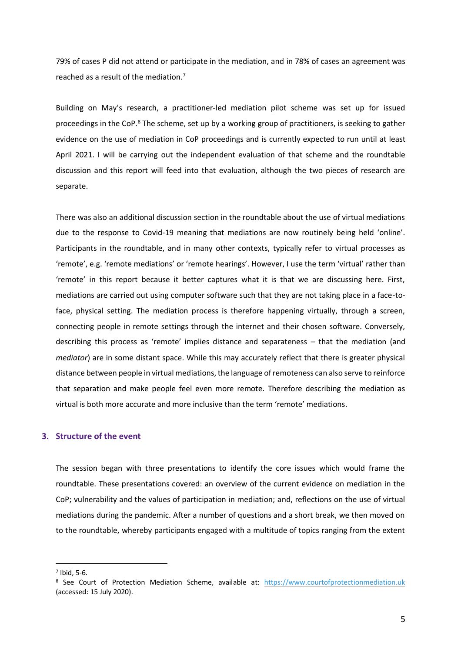79% of cases P did not attend or participate in the mediation, and in 78% of cases an agreement was reached as a result of the mediation.<sup>7</sup>

<span id="page-5-0"></span>Building on May's research, a practitioner-led mediation pilot scheme was set up for issued proceedings in the CoP.<sup>8</sup> The scheme, set up by a working group of practitioners, is seeking to gather evidence on the use of mediation in CoP proceedings and is currently expected to run until at least April 2021. I will be carrying out the independent evaluation of that scheme and the roundtable discussion and this report will feed into that evaluation, although the two pieces of research are separate.

There was also an additional discussion section in the roundtable about the use of virtual mediations due to the response to Covid-19 meaning that mediations are now routinely being held 'online'. Participants in the roundtable, and in many other contexts, typically refer to virtual processes as 'remote', e.g. 'remote mediations' or 'remote hearings'. However, I use the term 'virtual' rather than 'remote' in this report because it better captures what it is that we are discussing here. First, mediations are carried out using computer software such that they are not taking place in a face-toface, physical setting. The mediation process is therefore happening virtually, through a screen, connecting people in remote settings through the internet and their chosen software. Conversely, describing this process as 'remote' implies distance and separateness – that the mediation (and *mediator*) are in some distant space. While this may accurately reflect that there is greater physical distance between people in virtual mediations, the language of remoteness can also serve to reinforce that separation and make people feel even more remote. Therefore describing the mediation as virtual is both more accurate and more inclusive than the term 'remote' mediations.

# **3. Structure of the event**

The session began with three presentations to identify the core issues which would frame the roundtable. These presentations covered: an overview of the current evidence on mediation in the CoP; vulnerability and the values of participation in mediation; and, reflections on the use of virtual mediations during the pandemic. After a number of questions and a short break, we then moved on to the roundtable, whereby participants engaged with a multitude of topics ranging from the extent

 $<sup>7</sup>$  Ibid, 5-6.</sup>

<sup>8</sup> See Court of Protection Mediation Scheme, available at: [https://www.courtofprotectionmediation.uk](https://www.courtofprotectionmediation.uk/) (accessed: 15 July 2020).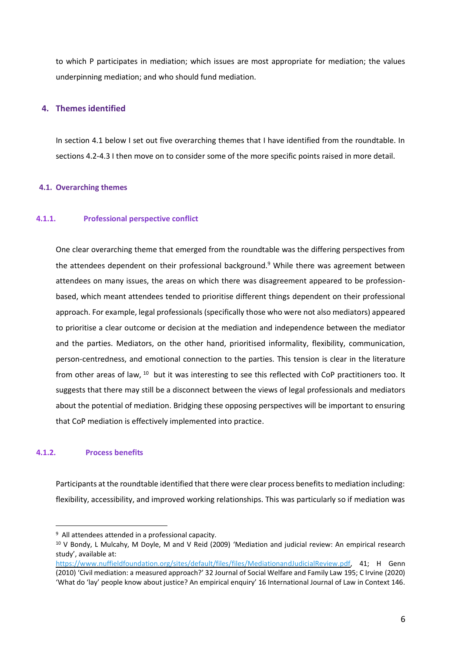to which P participates in mediation; which issues are most appropriate for mediation; the values underpinning mediation; and who should fund mediation.

## **4. Themes identified**

In section 4.1 below I set out five overarching themes that I have identified from the roundtable. In sections 4.2-4.3 I then move on to consider some of the more specific points raised in more detail.

## **4.1. Overarching themes**

## **4.1.1. Professional perspective conflict**

One clear overarching theme that emerged from the roundtable was the differing perspectives from the attendees dependent on their professional background. <sup>9</sup> While there was agreement between attendees on many issues, the areas on which there was disagreement appeared to be professionbased, which meant attendees tended to prioritise different things dependent on their professional approach. For example, legal professionals (specifically those who were not also mediators) appeared to prioritise a clear outcome or decision at the mediation and independence between the mediator and the parties. Mediators, on the other hand, prioritised informality, flexibility, communication, person-centredness, and emotional connection to the parties. This tension is clear in the literature from other areas of law, <sup>10</sup> but it was interesting to see this reflected with CoP practitioners too. It suggests that there may still be a disconnect between the views of legal professionals and mediators about the potential of mediation. Bridging these opposing perspectives will be important to ensuring that CoP mediation is effectively implemented into practice.

## <span id="page-6-0"></span>**4.1.2. Process benefits**

Participants at the roundtable identified that there were clear process benefits to mediation including: flexibility, accessibility, and improved working relationships. This was particularly so if mediation was

<sup>&</sup>lt;sup>9</sup> All attendees attended in a professional capacity.

<sup>&</sup>lt;sup>10</sup> V Bondy, L Mulcahy, M Doyle, M and V Reid (2009) 'Mediation and judicial review: An empirical research study', available at:

[https://www.nuffieldfoundation.org/sites/default/files/files/MediationandJudicialReview.pdf,](https://www.nuffieldfoundation.org/sites/default/files/files/MediationandJudicialReview.pdf) 41; H Genn (2010) 'Civil mediation: a measured approach?' 32 Journal of Social Welfare and Family Law 195; C Irvine (2020) 'What do 'lay' people know about justice? An empirical enquiry' 16 International Journal of Law in Context 146.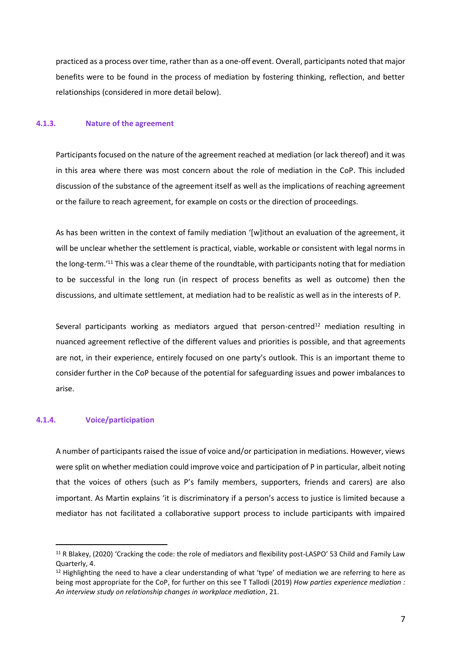practiced as a process over time, rather than as a one-off event. Overall, participants noted that major benefits were to be found in the process of mediation by fostering thinking, reflection, and better relationships (considered in more detail below).

## **4.1.3. Nature of the agreement**

Participants focused on the nature of the agreement reached at mediation (or lack thereof) and it was in this area where there was most concern about the role of mediation in the CoP. This included discussion of the substance of the agreement itself as well as the implications of reaching agreement or the failure to reach agreement, for example on costs or the direction of proceedings.

<span id="page-7-0"></span>As has been written in the context of family mediation '[w]ithout an evaluation of the agreement, it will be unclear whether the settlement is practical, viable, workable or consistent with legal norms in the long-term.<sup>'11</sup> This was a clear theme of the roundtable, with participants noting that for mediation to be successful in the long run (in respect of process benefits as well as outcome) then the discussions, and ultimate settlement, at mediation had to be realistic as well as in the interests of P.

Several participants working as mediators argued that person-centred<sup>12</sup> mediation resulting in nuanced agreement reflective of the different values and priorities is possible, and that agreements are not, in their experience, entirely focused on one party's outlook. This is an important theme to consider further in the CoP because of the potential for safeguarding issues and power imbalances to arise.

## **4.1.4. Voice/participation**

A number of participants raised the issue of voice and/or participation in mediations. However, views were split on whether mediation could improve voice and participation of P in particular, albeit noting that the voices of others (such as P's family members, supporters, friends and carers) are also important. As Martin explains 'it is discriminatory if a person's access to justice is limited because a mediator has not facilitated a collaborative support process to include participants with impaired

<sup>&</sup>lt;sup>11</sup> R Blakey, (2020) 'Cracking the code: the role of mediators and flexibility post-LASPO' 53 Child and Family Law Quarterly, 4.

 $12$  Highlighting the need to have a clear understanding of what 'type' of mediation we are referring to here as being most appropriate for the CoP, for further on this see T Tallodi (2019) *How parties experience mediation : An interview study on relationship changes in workplace mediation*, 21.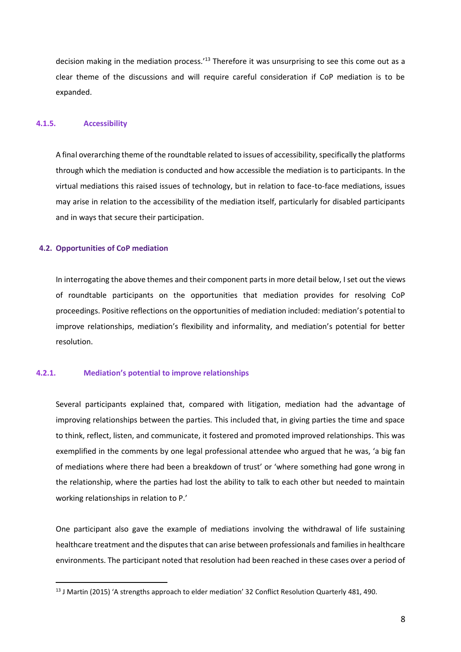<span id="page-8-0"></span>decision making in the mediation process.<sup>13</sup> Therefore it was unsurprising to see this come out as a clear theme of the discussions and will require careful consideration if CoP mediation is to be expanded.

## **4.1.5. Accessibility**

A final overarching theme of the roundtable related to issues of accessibility, specifically the platforms through which the mediation is conducted and how accessible the mediation is to participants. In the virtual mediations this raised issues of technology, but in relation to face-to-face mediations, issues may arise in relation to the accessibility of the mediation itself, particularly for disabled participants and in ways that secure their participation.

#### **4.2. Opportunities of CoP mediation**

In interrogating the above themes and their component parts in more detail below, I set out the views of roundtable participants on the opportunities that mediation provides for resolving CoP proceedings. Positive reflections on the opportunities of mediation included: mediation's potential to improve relationships, mediation's flexibility and informality, and mediation's potential for better resolution.

## **4.2.1. Mediation's potential to improve relationships**

Several participants explained that, compared with litigation, mediation had the advantage of improving relationships between the parties. This included that, in giving parties the time and space to think, reflect, listen, and communicate, it fostered and promoted improved relationships. This was exemplified in the comments by one legal professional attendee who argued that he was, 'a big fan of mediations where there had been a breakdown of trust' or 'where something had gone wrong in the relationship, where the parties had lost the ability to talk to each other but needed to maintain working relationships in relation to P.'

One participant also gave the example of mediations involving the withdrawal of life sustaining healthcare treatment and the disputes that can arise between professionals and families in healthcare environments. The participant noted that resolution had been reached in these cases over a period of

<sup>&</sup>lt;sup>13</sup> J Martin (2015) 'A strengths approach to elder mediation' 32 Conflict Resolution Quarterly 481, 490.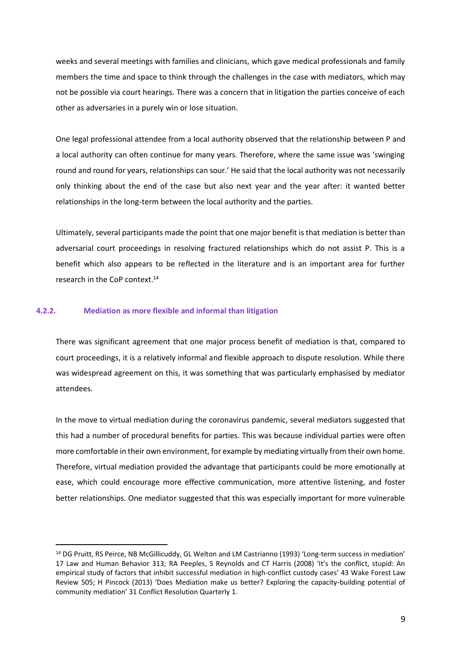weeks and several meetings with families and clinicians, which gave medical professionals and family members the time and space to think through the challenges in the case with mediators, which may not be possible via court hearings. There was a concern that in litigation the parties conceive of each other as adversaries in a purely win or lose situation.

One legal professional attendee from a local authority observed that the relationship between P and a local authority can often continue for many years. Therefore, where the same issue was 'swinging round and round for years, relationships can sour.' He said that the local authority was not necessarily only thinking about the end of the case but also next year and the year after: it wanted better relationships in the long-term between the local authority and the parties.

<span id="page-9-0"></span>Ultimately, several participants made the point that one major benefit is that mediation is better than adversarial court proceedings in resolving fractured relationships which do not assist P. This is a benefit which also appears to be reflected in the literature and is an important area for further research in the CoP context.<sup>14</sup>

#### **4.2.2. Mediation as more flexible and informal than litigation**

There was significant agreement that one major process benefit of mediation is that, compared to court proceedings, it is a relatively informal and flexible approach to dispute resolution. While there was widespread agreement on this, it was something that was particularly emphasised by mediator attendees.

In the move to virtual mediation during the coronavirus pandemic, several mediators suggested that this had a number of procedural benefits for parties. This was because individual parties were often more comfortable in their own environment, for example by mediating virtually from their own home. Therefore, virtual mediation provided the advantage that participants could be more emotionally at ease, which could encourage more effective communication, more attentive listening, and foster better relationships. One mediator suggested that this was especially important for more vulnerable

<sup>14</sup> DG Pruitt, RS Peirce, NB McGillicuddy, GL Welton and LM Castrianno (1993) 'Long-term success in mediation' 17 Law and Human Behavior 313; RA Peeples, S Reynolds and CT Harris (2008) 'It's the conflict, stupid: An empirical study of factors that inhibit successful mediation in high-conflict custody cases' 43 Wake Forest Law Review 505; H Pincock (2013) 'Does Mediation make us better? Exploring the capacity-building potential of community mediation' 31 Conflict Resolution Quarterly 1.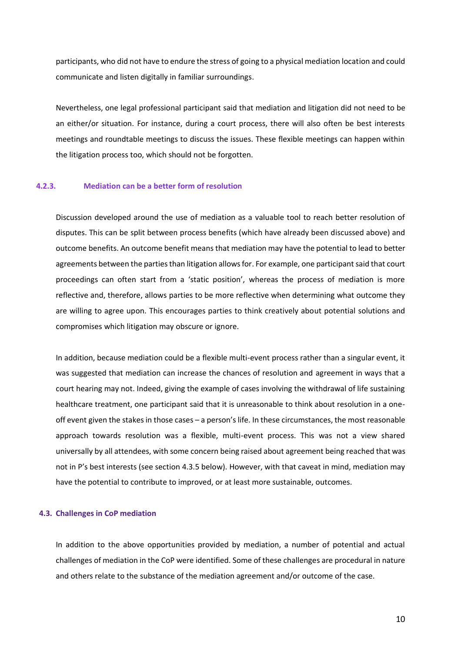participants, who did not have to endure the stress of going to a physical mediation location and could communicate and listen digitally in familiar surroundings.

Nevertheless, one legal professional participant said that mediation and litigation did not need to be an either/or situation. For instance, during a court process, there will also often be best interests meetings and roundtable meetings to discuss the issues. These flexible meetings can happen within the litigation process too, which should not be forgotten.

## **4.2.3. Mediation can be a better form of resolution**

Discussion developed around the use of mediation as a valuable tool to reach better resolution of disputes. This can be split between process benefits (which have already been discussed above) and outcome benefits. An outcome benefit means that mediation may have the potential to lead to better agreements between the parties than litigation allows for. For example, one participant said that court proceedings can often start from a 'static position', whereas the process of mediation is more reflective and, therefore, allows parties to be more reflective when determining what outcome they are willing to agree upon. This encourages parties to think creatively about potential solutions and compromises which litigation may obscure or ignore.

In addition, because mediation could be a flexible multi-event process rather than a singular event, it was suggested that mediation can increase the chances of resolution and agreement in ways that a court hearing may not. Indeed, giving the example of cases involving the withdrawal of life sustaining healthcare treatment, one participant said that it is unreasonable to think about resolution in a oneoff event given the stakes in those cases – a person's life. In these circumstances, the most reasonable approach towards resolution was a flexible, multi-event process. This was not a view shared universally by all attendees, with some concern being raised about agreement being reached that was not in P's best interests (see section[4.3.5](#page-14-0) below). However, with that caveat in mind, mediation may have the potential to contribute to improved, or at least more sustainable, outcomes.

#### **4.3. Challenges in CoP mediation**

In addition to the above opportunities provided by mediation, a number of potential and actual challenges of mediation in the CoP were identified. Some of these challenges are procedural in nature and others relate to the substance of the mediation agreement and/or outcome of the case.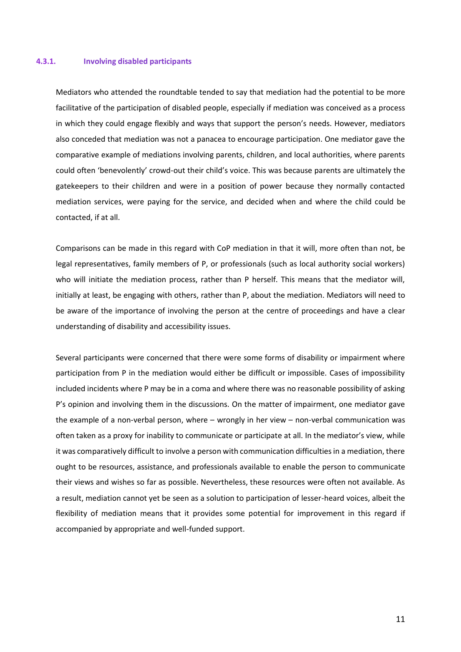#### **4.3.1. Involving disabled participants**

Mediators who attended the roundtable tended to say that mediation had the potential to be more facilitative of the participation of disabled people, especially if mediation was conceived as a process in which they could engage flexibly and ways that support the person's needs. However, mediators also conceded that mediation was not a panacea to encourage participation. One mediator gave the comparative example of mediations involving parents, children, and local authorities, where parents could often 'benevolently' crowd-out their child's voice. This was because parents are ultimately the gatekeepers to their children and were in a position of power because they normally contacted mediation services, were paying for the service, and decided when and where the child could be contacted, if at all.

Comparisons can be made in this regard with CoP mediation in that it will, more often than not, be legal representatives, family members of P, or professionals (such as local authority social workers) who will initiate the mediation process, rather than P herself. This means that the mediator will, initially at least, be engaging with others, rather than P, about the mediation. Mediators will need to be aware of the importance of involving the person at the centre of proceedings and have a clear understanding of disability and accessibility issues.

Several participants were concerned that there were some forms of disability or impairment where participation from P in the mediation would either be difficult or impossible. Cases of impossibility included incidents where P may be in a coma and where there was no reasonable possibility of asking P's opinion and involving them in the discussions. On the matter of impairment, one mediator gave the example of a non-verbal person, where – wrongly in her view – non-verbal communication was often taken as a proxy for inability to communicate or participate at all. In the mediator's view, while it was comparatively difficult to involve a person with communication difficulties in a mediation, there ought to be resources, assistance, and professionals available to enable the person to communicate their views and wishes so far as possible. Nevertheless, these resources were often not available. As a result, mediation cannot yet be seen as a solution to participation of lesser-heard voices, albeit the flexibility of mediation means that it provides some potential for improvement in this regard if accompanied by appropriate and well-funded support.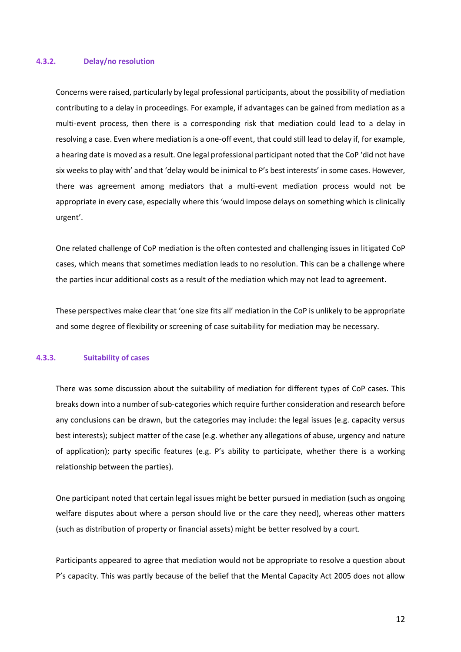#### **4.3.2. Delay/no resolution**

Concerns were raised, particularly by legal professional participants, about the possibility of mediation contributing to a delay in proceedings. For example, if advantages can be gained from mediation as a multi-event process, then there is a corresponding risk that mediation could lead to a delay in resolving a case. Even where mediation is a one-off event, that could still lead to delay if, for example, a hearing date is moved as a result. One legal professional participant noted that the CoP 'did not have six weeks to play with' and that 'delay would be inimical to P's best interests' in some cases. However, there was agreement among mediators that a multi-event mediation process would not be appropriate in every case, especially where this 'would impose delays on something which is clinically urgent'.

One related challenge of CoP mediation is the often contested and challenging issues in litigated CoP cases, which means that sometimes mediation leads to no resolution. This can be a challenge where the parties incur additional costs as a result of the mediation which may not lead to agreement.

These perspectives make clear that 'one size fits all' mediation in the CoP is unlikely to be appropriate and some degree of flexibility or screening of case suitability for mediation may be necessary.

## **4.3.3. Suitability of cases**

There was some discussion about the suitability of mediation for different types of CoP cases. This breaks down into a number of sub-categories which require further consideration and research before any conclusions can be drawn, but the categories may include: the legal issues (e.g. capacity versus best interests); subject matter of the case (e.g. whether any allegations of abuse, urgency and nature of application); party specific features (e.g. P's ability to participate, whether there is a working relationship between the parties).

One participant noted that certain legal issues might be better pursued in mediation (such as ongoing welfare disputes about where a person should live or the care they need), whereas other matters (such as distribution of property or financial assets) might be better resolved by a court.

Participants appeared to agree that mediation would not be appropriate to resolve a question about P's capacity. This was partly because of the belief that the Mental Capacity Act 2005 does not allow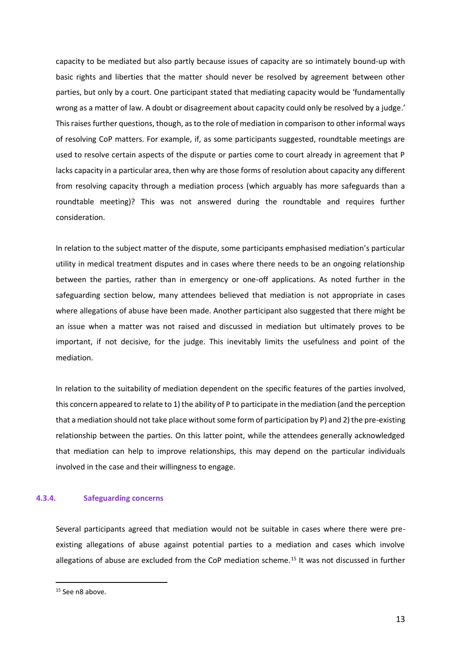capacity to be mediated but also partly because issues of capacity are so intimately bound-up with basic rights and liberties that the matter should never be resolved by agreement between other parties, but only by a court. One participant stated that mediating capacity would be 'fundamentally wrong as a matter of law. A doubt or disagreement about capacity could only be resolved by a judge.' This raises further questions, though, as to the role of mediation in comparison to other informal ways of resolving CoP matters. For example, if, as some participants suggested, roundtable meetings are used to resolve certain aspects of the dispute or parties come to court already in agreement that P lacks capacity in a particular area, then why are those forms of resolution about capacity any different from resolving capacity through a mediation process (which arguably has more safeguards than a roundtable meeting)? This was not answered during the roundtable and requires further consideration.

In relation to the subject matter of the dispute, some participants emphasised mediation's particular utility in medical treatment disputes and in cases where there needs to be an ongoing relationship between the parties, rather than in emergency or one-off applications. As noted further in the safeguarding section below, many attendees believed that mediation is not appropriate in cases where allegations of abuse have been made. Another participant also suggested that there might be an issue when a matter was not raised and discussed in mediation but ultimately proves to be important, if not decisive, for the judge. This inevitably limits the usefulness and point of the mediation.

In relation to the suitability of mediation dependent on the specific features of the parties involved, this concern appeared to relate to 1) the ability of P to participate in the mediation (and the perception that a mediation should not take place without some form of participation by P) and 2) the pre-existing relationship between the parties. On this latter point, while the attendees generally acknowledged that mediation can help to improve relationships, this may depend on the particular individuals involved in the case and their willingness to engage.

## **4.3.4. Safeguarding concerns**

Several participants agreed that mediation would not be suitable in cases where there were preexisting allegations of abuse against potential parties to a mediation and cases which involve allegations of abuse are excluded from the CoP mediation scheme.<sup>15</sup> It was not discussed in further

<sup>&</sup>lt;sup>15</sup> See [n8](#page-5-0) above.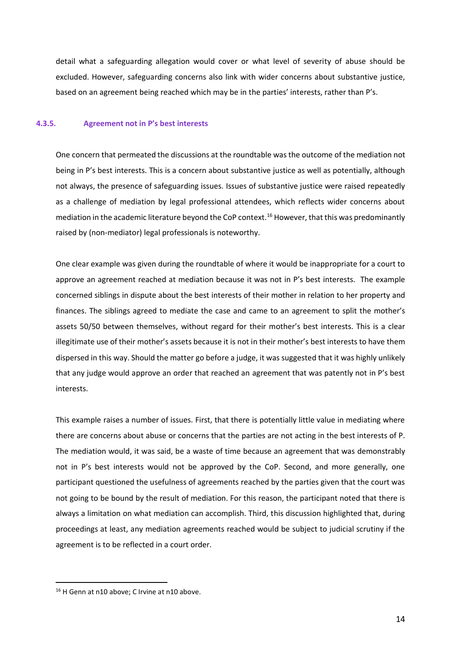detail what a safeguarding allegation would cover or what level of severity of abuse should be excluded. However, safeguarding concerns also link with wider concerns about substantive justice, based on an agreement being reached which may be in the parties' interests, rather than P's.

## <span id="page-14-0"></span>**4.3.5. Agreement not in P's best interests**

One concern that permeated the discussions at the roundtable was the outcome of the mediation not being in P's best interests. This is a concern about substantive justice as well as potentially, although not always, the presence of safeguarding issues. Issues of substantive justice were raised repeatedly as a challenge of mediation by legal professional attendees, which reflects wider concerns about mediation in the academic literature beyond the CoP context.<sup>16</sup> However, that this was predominantly raised by (non-mediator) legal professionals is noteworthy.

One clear example was given during the roundtable of where it would be inappropriate for a court to approve an agreement reached at mediation because it was not in P's best interests. The example concerned siblings in dispute about the best interests of their mother in relation to her property and finances. The siblings agreed to mediate the case and came to an agreement to split the mother's assets 50/50 between themselves, without regard for their mother's best interests. This is a clear illegitimate use of their mother's assets because it is not in their mother's best interests to have them dispersed in this way. Should the matter go before a judge, it was suggested that it was highly unlikely that any judge would approve an order that reached an agreement that was patently not in P's best interests.

This example raises a number of issues. First, that there is potentially little value in mediating where there are concerns about abuse or concerns that the parties are not acting in the best interests of P. The mediation would, it was said, be a waste of time because an agreement that was demonstrably not in P's best interests would not be approved by the CoP. Second, and more generally, one participant questioned the usefulness of agreements reached by the parties given that the court was not going to be bound by the result of mediation. For this reason, the participant noted that there is always a limitation on what mediation can accomplish. Third, this discussion highlighted that, during proceedings at least, any mediation agreements reached would be subject to judicial scrutiny if the agreement is to be reflected in a court order.

<sup>&</sup>lt;sup>16</sup> H Genn at [n10](#page-6-0) above; C Irvine at n10 above.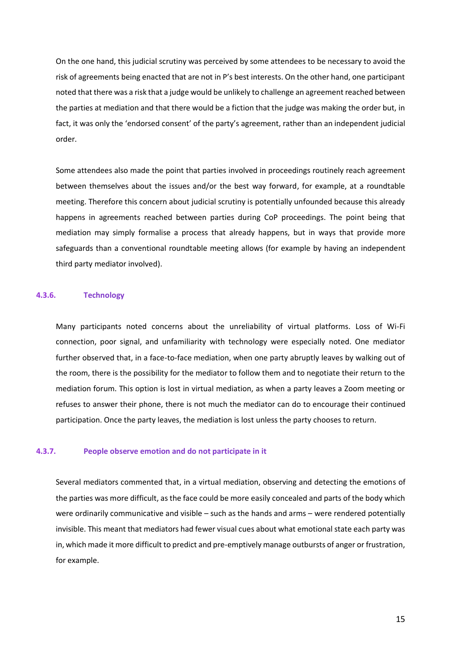On the one hand, this judicial scrutiny was perceived by some attendees to be necessary to avoid the risk of agreements being enacted that are not in P's best interests. On the other hand, one participant noted that there was a risk that a judge would be unlikely to challenge an agreement reached between the parties at mediation and that there would be a fiction that the judge was making the order but, in fact, it was only the 'endorsed consent' of the party's agreement, rather than an independent judicial order.

Some attendees also made the point that parties involved in proceedings routinely reach agreement between themselves about the issues and/or the best way forward, for example, at a roundtable meeting. Therefore this concern about judicial scrutiny is potentially unfounded because this already happens in agreements reached between parties during CoP proceedings. The point being that mediation may simply formalise a process that already happens, but in ways that provide more safeguards than a conventional roundtable meeting allows (for example by having an independent third party mediator involved).

#### **4.3.6. Technology**

Many participants noted concerns about the unreliability of virtual platforms. Loss of Wi-Fi connection, poor signal, and unfamiliarity with technology were especially noted. One mediator further observed that, in a face-to-face mediation, when one party abruptly leaves by walking out of the room, there is the possibility for the mediator to follow them and to negotiate their return to the mediation forum. This option is lost in virtual mediation, as when a party leaves a Zoom meeting or refuses to answer their phone, there is not much the mediator can do to encourage their continued participation. Once the party leaves, the mediation is lost unless the party chooses to return.

#### **4.3.7. People observe emotion and do not participate in it**

Several mediators commented that, in a virtual mediation, observing and detecting the emotions of the parties was more difficult, as the face could be more easily concealed and parts of the body which were ordinarily communicative and visible – such as the hands and arms – were rendered potentially invisible. This meant that mediators had fewer visual cues about what emotional state each party was in, which made it more difficult to predict and pre-emptively manage outbursts of anger or frustration, for example.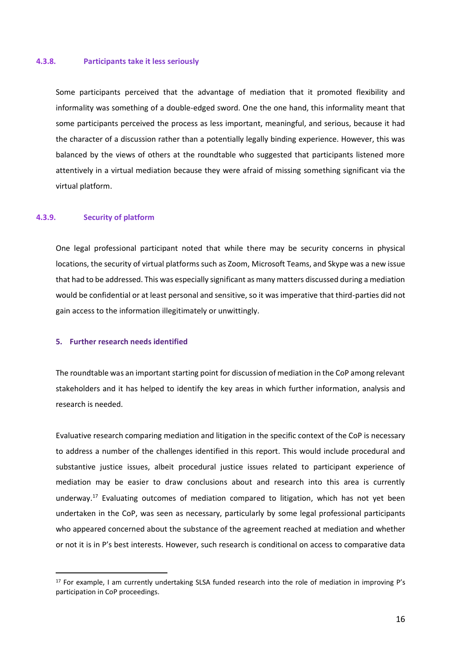#### **4.3.8. Participants take it less seriously**

Some participants perceived that the advantage of mediation that it promoted flexibility and informality was something of a double-edged sword. One the one hand, this informality meant that some participants perceived the process as less important, meaningful, and serious, because it had the character of a discussion rather than a potentially legally binding experience. However, this was balanced by the views of others at the roundtable who suggested that participants listened more attentively in a virtual mediation because they were afraid of missing something significant via the virtual platform.

#### **4.3.9. Security of platform**

One legal professional participant noted that while there may be security concerns in physical locations, the security of virtual platforms such as Zoom, Microsoft Teams, and Skype was a new issue that had to be addressed. This was especially significant as many matters discussed during a mediation would be confidential or at least personal and sensitive, so it was imperative that third-parties did not gain access to the information illegitimately or unwittingly.

#### **5. Further research needs identified**

The roundtable was an important starting point for discussion of mediation in the CoP among relevant stakeholders and it has helped to identify the key areas in which further information, analysis and research is needed.

Evaluative research comparing mediation and litigation in the specific context of the CoP is necessary to address a number of the challenges identified in this report. This would include procedural and substantive justice issues, albeit procedural justice issues related to participant experience of mediation may be easier to draw conclusions about and research into this area is currently underway.<sup>17</sup> Evaluating outcomes of mediation compared to litigation, which has not yet been undertaken in the CoP, was seen as necessary, particularly by some legal professional participants who appeared concerned about the substance of the agreement reached at mediation and whether or not it is in P's best interests. However, such research is conditional on access to comparative data

<sup>17</sup> For example, I am currently undertaking SLSA funded research into the role of mediation in improving P's participation in CoP proceedings.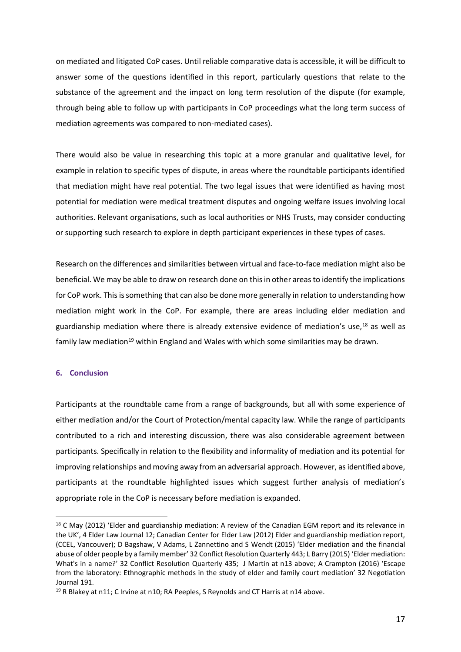on mediated and litigated CoP cases. Until reliable comparative data is accessible, it will be difficult to answer some of the questions identified in this report, particularly questions that relate to the substance of the agreement and the impact on long term resolution of the dispute (for example, through being able to follow up with participants in CoP proceedings what the long term success of mediation agreements was compared to non-mediated cases).

There would also be value in researching this topic at a more granular and qualitative level, for example in relation to specific types of dispute, in areas where the roundtable participants identified that mediation might have real potential. The two legal issues that were identified as having most potential for mediation were medical treatment disputes and ongoing welfare issues involving local authorities. Relevant organisations, such as local authorities or NHS Trusts, may consider conducting or supporting such research to explore in depth participant experiences in these types of cases.

Research on the differences and similarities between virtual and face-to-face mediation might also be beneficial. We may be able to draw on research done on this in other areas to identify the implications for CoP work. This is something that can also be done more generally in relation to understanding how mediation might work in the CoP. For example, there are areas including elder mediation and guardianship mediation where there is already extensive evidence of mediation's use,<sup>18</sup> as well as family law mediation<sup>19</sup> within England and Wales with which some similarities may be drawn.

## **6. Conclusion**

Participants at the roundtable came from a range of backgrounds, but all with some experience of either mediation and/or the Court of Protection/mental capacity law. While the range of participants contributed to a rich and interesting discussion, there was also considerable agreement between participants. Specifically in relation to the flexibility and informality of mediation and its potential for improving relationships and moving away from an adversarial approach. However, as identified above, participants at the roundtable highlighted issues which suggest further analysis of mediation's appropriate role in the CoP is necessary before mediation is expanded.

<sup>&</sup>lt;sup>18</sup> C May (2012) 'Elder and guardianship mediation: A review of the Canadian EGM report and its relevance in the UK', 4 Elder Law Journal 12; Canadian Center for Elder Law (2012) Elder and guardianship mediation report, (CCEL, Vancouver); D Bagshaw, V Adams, L Zannettino and S Wendt (2015) 'Elder mediation and the financial abuse of older people by a family member' 32 Conflict Resolution Quarterly 443; L Barry (2015) 'Elder mediation: What's in a name?' 32 Conflict Resolution Quarterly 435; J Martin at [n13](#page-8-0) above; A Crampton (2016) 'Escape from the laboratory: Ethnographic methods in the study of elder and family court mediation' 32 Negotiation Journal 191.

<sup>&</sup>lt;sup>19</sup> R Blakey at [n11;](#page-7-0) C Irvine at [n10;](#page-6-0) RA Peeples, S Reynolds and CT Harris at [n14](#page-9-0) above.